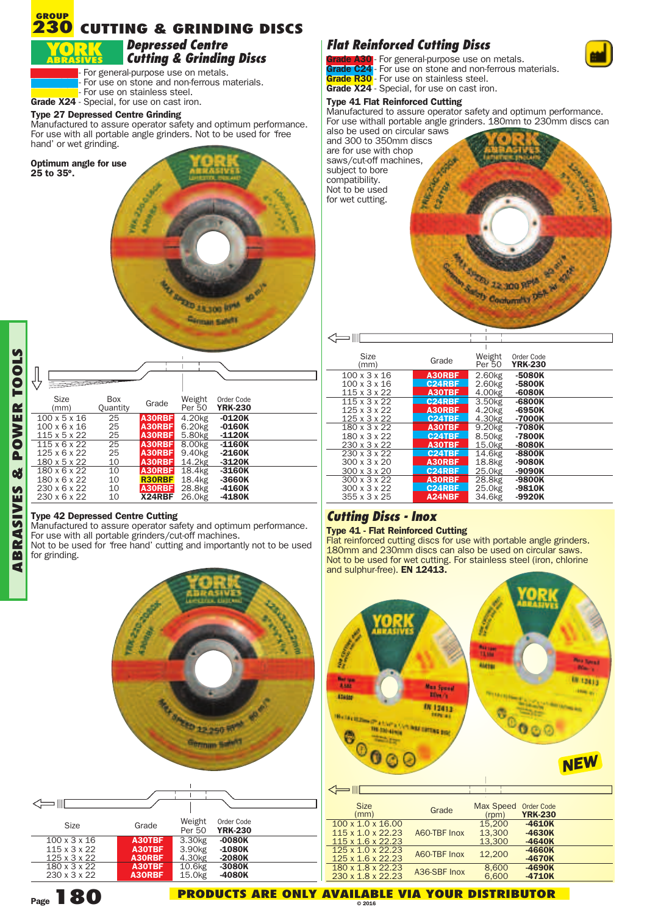## **CUTTING & GRINDING DISCS GROUP 230**

## *Depressed Centre Cutting & Grinding Discs*

For general-purpose use on metals. For use on stone and non-ferrous materials. For use on stainless steel.

**Grade X24** - Special, for use on cast iron.

## **Type 27 Depressed Centre Grinding**

Manufactured to assure operator safety and optimum performance. For use with all portable angle grinders. Not to be used for 'free hand' or wet grinding.

**Optimum angle for use 25 to 35**°**.** WA ZINGL AND SELECT OF  $e^t$ 

| Size<br>(mm)             | Box<br>Quantity | Grade         | Weight<br>Per 50   | Order Code<br><b>YRK-230</b> |  |  |
|--------------------------|-----------------|---------------|--------------------|------------------------------|--|--|
| $100 \times 5 \times 16$ | 25              | A30RBF        | 4.20 <sub>kg</sub> | $-0120K$                     |  |  |
| $100 \times 6 \times 16$ | 25              | A30RBF        | 6.20 <sub>kg</sub> | $-0160K$                     |  |  |
| $115 \times 5 \times 22$ | 25              | A30RBF        | 5.80 <sub>kg</sub> | $-1120K$                     |  |  |
| $115 \times 6 \times 22$ | 25              | A30RBF        | 8.00kg             | $-1160K$                     |  |  |
| 125 x 6 x 22             | 25              | A30RBF        | 9.40 <sub>kg</sub> | $-2160K$                     |  |  |
| 180 x 5 x 22             | 10              | A30RBF        | 14.2kg             | $-3120K$                     |  |  |
| 180 x 6 x 22             | 10              | A30RBF        | 18.4kg             | $-3160K$                     |  |  |
| 180 x 6 x 22             | 10              | <b>R30RBF</b> | 18.4kg             | $-3660K$                     |  |  |
| 230 x 6 x 22             | 10              | A30RBF        | 28.8kg             | $-4160K$                     |  |  |
| 230 x 6 x 22             | 10              | X24RBF        | 26.0kg             | $-4180K$                     |  |  |

**Griman Safe<sup>ty</sup>** 

## **Type 42 Depressed Centre Cutting**

Manufactured to assure operator safety and optimum performance. For use with all portable grinders/cut-off machines.

Not to be used for 'free hand' cutting and importantly not to be used for grinding.



# *Flat Reinforced Cutting Discs*

**Grade A30** - For general-purpose use on metals. **Grade C24** - For use on stone and non-ferrous materials. **Grade R30** - For use on stainless steel. **Grade X24** - Special, for use on cast iron.

## **Type 41 Flat Reinforced Cutting**

Manufactured to assure operator safety and optimum performance. For use withall portable angle grinders. 180mm to 230mm discs can also be used on circular saws

and 300 to 350mm discs are for use with chop saws/cut-off machines,<br>subject to bore<br>compatibility.<br>Not to be used<br>for wet cutting. Not to be used for wet cutting.

 $\Longleftrightarrow$ 

Service 22.200 pmg and

| Size                     | Grade         | Weight<br>Per 50    | Order Code<br><b>YRK-230</b> |  |
|--------------------------|---------------|---------------------|------------------------------|--|
| (mm)                     |               |                     |                              |  |
| $100 \times 3 \times 16$ | A30RBF        | 2.60 <sub>k</sub> g | $-5080K$                     |  |
| $100 \times 3 \times 16$ | <b>C24RBF</b> | 2.60kg              | -5800K                       |  |
| 115 x 3 x 22             | A30TBF        | 4.00kg              | $-6080K$                     |  |
| 115 x 3 x 22             | C24RBE        | 3.50kg              | $-6800K$                     |  |
| 125 x 3 x 22             | A30RBF        | 4.20kg              | $-6950K$                     |  |
| 125 x 3 x 22             | <b>C24TBF</b> | 4.30kg              | -7000K                       |  |
| 180 x 3 x 22             | A30TBF        | 9.20kg              | -7080K                       |  |
| 180 x 3 x 22             | <b>C24TBF</b> | 8.50 <sub>kg</sub>  | -7800K                       |  |
| 230 x 3 x 22             | A30TBF        | 15.0kg              | $-8080K$                     |  |
| 230 x 3 x 22             | <b>C24TBF</b> | 14.6kg              | $-8800K$                     |  |
| $300 \times 3 \times 20$ | A30RBF        | 18.8kg              | $-9080K$                     |  |
| $300 \times 3 \times 20$ | <b>C24RBF</b> | 25.0 <sub>kg</sub>  | -9090K                       |  |
| $300 \times 3 \times 22$ | A30RBF        | 28.8kg              | -9800K                       |  |
| $300 \times 3 \times 22$ | C24RBF        | 25.0 <sub>kg</sub>  | $-9810K$                     |  |
| 355 x 3 x 25             | A24NBF        | 34.6kg              | $-9920K$                     |  |
|                          |               |                     |                              |  |

# *Cutting Discs - Inox*

**Type 41 - Flat Reinforced Cutting** 180mm and 230mm discs can also be used on circular saws.<br>Not to be used for wet cutting. For stainless steel (iron, chlorine and sulphur-free). **EN 12413.**



| <b>Size</b><br>(mm)                                                                             | Grade        | <b>Max Speed</b><br>(rpm)  | <b>Order Code</b><br><b>YRK-230</b> |  |
|-------------------------------------------------------------------------------------------------|--------------|----------------------------|-------------------------------------|--|
| $100 \times 1.0 \times 16.00$<br>$115 \times 1.0 \times 22.23$<br>$115 \times 1.6 \times 22.23$ | A60-TBF Inox | 15,200<br>13,300<br>13,300 | $-4610K$<br>$-4630K$<br>$-4640K$    |  |
| $125 \times 1.0 \times 22.23$<br>$125 \times 1.6 \times 22.23$                                  | A60-TBF Inox | 12.200                     | $-4660K$<br>$-4670K$                |  |
| 180 x 1.8 x 22.23<br>230 x 1.8 x 22.23                                                          | A36-SBF Inox | 8.600<br>6.600             | $-4690K$<br>$-4710K$                |  |
|                                                                                                 |              |                            |                                     |  |



**ANE** 

# **Page180**